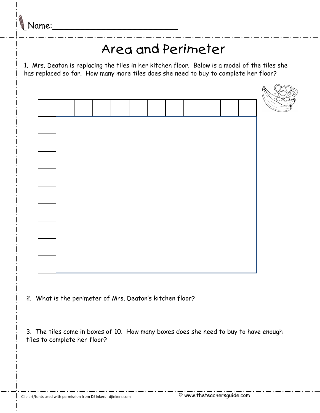## Area and Perimeter

1. Mrs. Deaton is replacing the tiles in her kitchen floor. Below is a model of the tiles she has replaced so far. How many more tiles does she need to buy to complete her floor?



2. What is the perimeter of Mrs. Deaton's kitchen floor?

3. The tiles come in boxes of 10. How many boxes does she need to buy to have enough tiles to complete her floor?